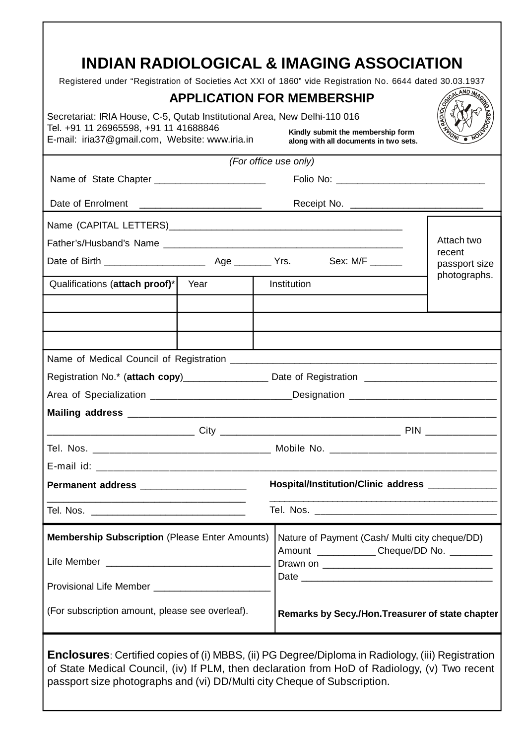## **INDIAN RADIOLOGICAL & IMAGING ASSOCIATION**

Registered under "Registration of Societies Act XXI of 1860" vide Registration No. 6644 dated 30.03.1937

|                                                                                                                                                                      |                       | $\alpha$ and $\alpha$ and $\alpha$ are constructed to the contract $\alpha$ and $\alpha$ are constructed in $\alpha$ . The construction in $\alpha$<br><b>APPLICATION FOR MEMBERSHIP</b> |                         |
|----------------------------------------------------------------------------------------------------------------------------------------------------------------------|-----------------------|------------------------------------------------------------------------------------------------------------------------------------------------------------------------------------------|-------------------------|
| Secretariat: IRIA House, C-5, Qutab Institutional Area, New Delhi-110 016<br>Tel. +91 11 26965598, +91 11 41688846<br>E-mail: iria37@gmail.com, Website: www.iria.in |                       | Kindly submit the membership form<br>along with all documents in two sets.                                                                                                               | <b>AADIOL</b>           |
|                                                                                                                                                                      | (For office use only) |                                                                                                                                                                                          |                         |
|                                                                                                                                                                      |                       |                                                                                                                                                                                          |                         |
|                                                                                                                                                                      |                       | Receipt No.                                                                                                                                                                              |                         |
|                                                                                                                                                                      |                       |                                                                                                                                                                                          |                         |
|                                                                                                                                                                      |                       |                                                                                                                                                                                          | Attach two              |
|                                                                                                                                                                      |                       | Sex: M/F ______                                                                                                                                                                          | recent<br>passport size |
| Qualifications (attach proof)*                                                                                                                                       | Year                  | Institution                                                                                                                                                                              | photographs.            |
|                                                                                                                                                                      |                       |                                                                                                                                                                                          |                         |
|                                                                                                                                                                      |                       |                                                                                                                                                                                          |                         |
|                                                                                                                                                                      |                       |                                                                                                                                                                                          |                         |
| Registration No.* (attach copy)_____________________Date of Registration ___________________________                                                                 |                       |                                                                                                                                                                                          |                         |
|                                                                                                                                                                      |                       | _Designation _________________________________                                                                                                                                           |                         |
|                                                                                                                                                                      |                       |                                                                                                                                                                                          |                         |
|                                                                                                                                                                      |                       |                                                                                                                                                                                          |                         |
|                                                                                                                                                                      |                       | Tel. Nos. __________________________________ Mobile No. _________________________                                                                                                        |                         |
|                                                                                                                                                                      |                       |                                                                                                                                                                                          |                         |
|                                                                                                                                                                      |                       | Hospital/Institution/Clinic address ____________                                                                                                                                         |                         |
|                                                                                                                                                                      |                       |                                                                                                                                                                                          |                         |
| <b>Membership Subscription (Please Enter Amounts)</b>                                                                                                                |                       | Nature of Payment (Cash/ Multi city cheque/DD)                                                                                                                                           |                         |
|                                                                                                                                                                      |                       | Amount _____________Cheque/DD No. _________                                                                                                                                              |                         |
|                                                                                                                                                                      |                       |                                                                                                                                                                                          |                         |
| (For subscription amount, please see overleaf).                                                                                                                      |                       | Remarks by Secy./Hon. Treasurer of state chapter                                                                                                                                         |                         |
|                                                                                                                                                                      |                       | <b>Enclosures:</b> Certified copies of (i) MRRS. (ii) PG Degree/Diploma in Radiology (iii) Registration                                                                                  |                         |

**Enclosures**: Certified copies of (i) MBBS, (ii) PG Degree/Diploma in Radiology, (iii) Registration of State Medical Council, (iv) If PLM, then declaration from HoD of Radiology, (v) Two recent passport size photographs and (vi) DD/Multi city Cheque of Subscription.